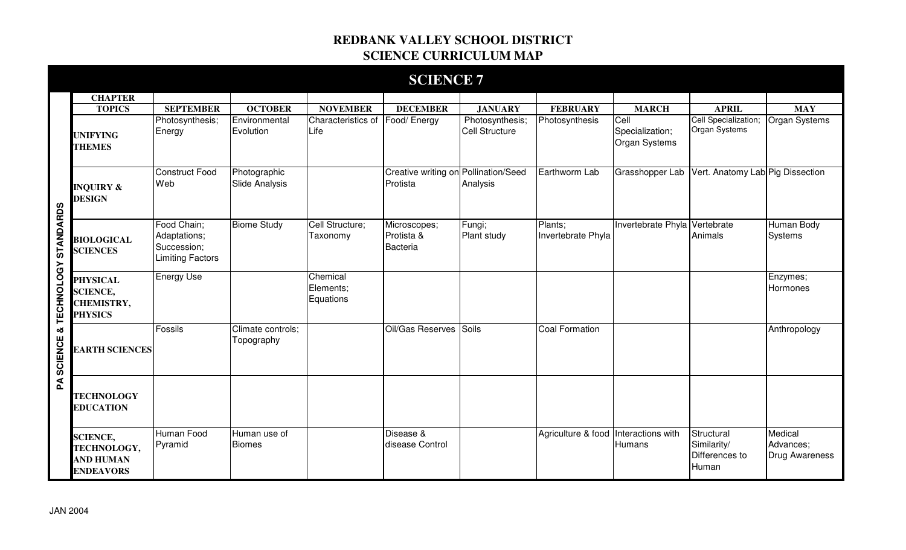## **REDBANK VALLEY SCHOOL DISTRICT SCIENCE CURRICULUM MAP**

|                                   |                                                                           |                                                                       |                                       |                                    | <b>SCIENCE 7</b>                                 |                                          |                                      |                                                 |                                                      |                                               |
|-----------------------------------|---------------------------------------------------------------------------|-----------------------------------------------------------------------|---------------------------------------|------------------------------------|--------------------------------------------------|------------------------------------------|--------------------------------------|-------------------------------------------------|------------------------------------------------------|-----------------------------------------------|
|                                   | <b>CHAPTER</b>                                                            |                                                                       |                                       |                                    |                                                  |                                          |                                      |                                                 |                                                      |                                               |
|                                   | <b>TOPICS</b>                                                             | <b>SEPTEMBER</b>                                                      | <b>OCTOBER</b>                        | <b>NOVEMBER</b>                    | <b>DECEMBER</b>                                  | <b>JANUARY</b>                           | <b>FEBRUARY</b>                      | <b>MARCH</b>                                    | <b>APRIL</b>                                         | <b>MAY</b>                                    |
|                                   | <b>UNIFYING</b><br><b>THEMES</b>                                          | Photosynthesis;<br>Energy                                             | Environmental<br>Evolution            | Characteristics of<br>Life         | Food/ Energy                                     | Photosynthesis;<br><b>Cell Structure</b> | Photosynthesis                       | Cell<br>Specialization;<br><b>Organ Systems</b> | Cell Specialization;<br><b>Organ Systems</b>         | Organ Systems                                 |
|                                   | <b>INQUIRY &amp;</b><br><b>DESIGN</b>                                     | <b>Construct Food</b><br>Web                                          | Photographic<br><b>Slide Analysis</b> |                                    | Creative writing on Pollination/Seed<br>Protista | Analysis                                 | Earthworm Lab                        | Grasshopper Lab                                 | Vert. Anatomy Lab Pig Dissection                     |                                               |
|                                   | <b>BIOLOGICAL</b><br><b>SCIENCES</b>                                      | Food Chain;<br>Adaptations;<br>Succession;<br><b>Limiting Factors</b> | <b>Biome Study</b>                    | Cell Structure;<br>Taxonomy        | Microscopes;<br>Protista &<br>Bacteria           | Fungi;<br>Plant study                    | Plants;<br>Invertebrate Phyla        | Invertebrate Phyla                              | Vertebrate<br>Animals                                | Human Body<br>Systems                         |
| & TECHNOLOGY STANDARDS            | <b>PHYSICAL</b><br><b>SCIENCE,</b><br><b>CHEMISTRY,</b><br><b>PHYSICS</b> | <b>Energy Use</b>                                                     |                                       | Chemical<br>Elements;<br>Equations |                                                  |                                          |                                      |                                                 |                                                      | Enzymes;<br>Hormones                          |
| <b>SCIENCE</b>                    | <b>EARTH SCIENCES</b>                                                     | Fossils                                                               | Climate controls;<br>Topography       |                                    | Oil/Gas Reserves                                 | <b>Soils</b>                             | <b>Coal Formation</b>                |                                                 |                                                      | Anthropology                                  |
| $\mathbf{\underline{\mathsf{A}}}$ | <b>TECHNOLOGY</b><br><b>EDUCATION</b>                                     |                                                                       |                                       |                                    |                                                  |                                          |                                      |                                                 |                                                      |                                               |
|                                   | <b>SCIENCE,</b><br>TECHNOLOGY,<br><b>AND HUMAN</b><br><b>ENDEAVORS</b>    | <b>Human Food</b><br>Pyramid                                          | Human use of<br><b>Biomes</b>         |                                    | Disease &<br>disease Control                     |                                          | Agriculture & food Interactions with | Humans                                          | Structural<br>Similarity/<br>Differences to<br>Human | Medical<br>Advances;<br><b>Drug Awareness</b> |